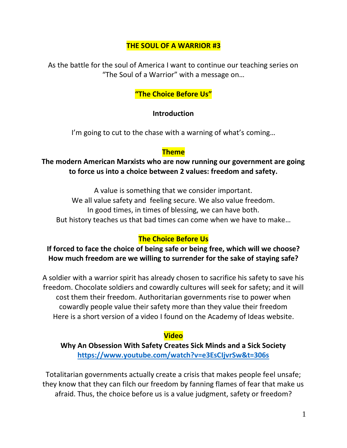#### **THE SOUL OF A WARRIOR #3**

As the battle for the soul of America I want to continue our teaching series on "The Soul of a Warrior" with a message on…

### **"The Choice Before Us"**

#### **Introduction**

I'm going to cut to the chase with a warning of what's coming...

#### **Theme**

#### **The modern American Marxists who are now running our government are going to force us into a choice between 2 values: freedom and safety.**

A value is something that we consider important. We all value safety and feeling secure. We also value freedom. In good times, in times of blessing, we can have both. But history teaches us that bad times can come when we have to make…

#### **The Choice Before Us**

#### **If forced to face the choice of being safe or being free, which will we choose? How much freedom are we willing to surrender for the sake of staying safe?**

A soldier with a warrior spirit has already chosen to sacrifice his safety to save his freedom. Chocolate soldiers and cowardly cultures will seek for safety; and it will cost them their freedom. Authoritarian governments rise to power when cowardly people value their safety more than they value their freedom Here is a short version of a video I found on the Academy of Ideas website.

#### **Video**

**Why An Obsession With Safety Creates Sick Minds and a Sick Society <https://www.youtube.com/watch?v=e3EsCIjvrSw&t=306s>**

Totalitarian governments actually create a crisis that makes people feel unsafe; they know that they can filch our freedom by fanning flames of fear that make us afraid. Thus, the choice before us is a value judgment, safety or freedom?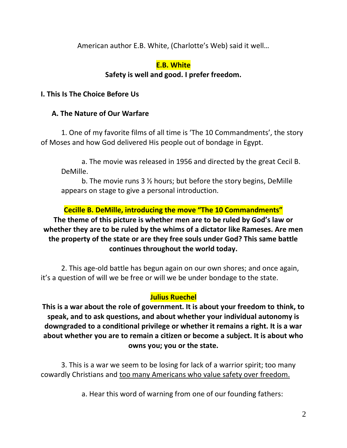American author E.B. White, (Charlotte's Web) said it well…

## **E.B. White**

# **Safety is well and good. I prefer freedom.**

## **I. This Is The Choice Before Us**

# **A. The Nature of Our Warfare**

1. One of my favorite films of all time is 'The 10 Commandments', the story of Moses and how God delivered His people out of bondage in Egypt.

a. The movie was released in 1956 and directed by the great Cecil B. DeMille.

b. The movie runs 3 ½ hours; but before the story begins, DeMille appears on stage to give a personal introduction.

**Cecille B. DeMille, introducing the move "The 10 Commandments" The theme of this picture is whether men are to be ruled by God's law or whether they are to be ruled by the whims of a dictator like Rameses. Are men the property of the state or are they free souls under God? This same battle continues throughout the world today.**

2. This age-old battle has begun again on our own shores; and once again, it's a question of will we be free or will we be under bondage to the state.

## **Julius Ruechel**

**This is a war about the role of government. It is about your freedom to think, to speak, and to ask questions, and about whether your individual autonomy is downgraded to a conditional privilege or whether it remains a right. It is a war about whether you are to remain a citizen or become a subject. It is about who owns you; you or the state.**

3. This is a war we seem to be losing for lack of a warrior spirit; too many cowardly Christians and too many Americans who value safety over freedom.

a. Hear this word of warning from one of our founding fathers: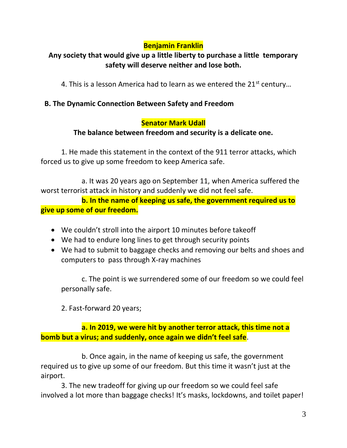# **Benjamin Franklin**

# **Any society that would give up a little liberty to purchase a little temporary safety will deserve neither and lose both.**

4. This is a lesson America had to learn as we entered the  $21^{st}$  century...

### **B. The Dynamic Connection Between Safety and Freedom**

### **Senator Mark Udall**

### **The balance between freedom and security is a delicate one.**

1. He made this statement in the context of the 911 terror attacks, which forced us to give up some freedom to keep America safe.

a. It was 20 years ago on September 11, when America suffered the worst terrorist attack in history and suddenly we did not feel safe.

**b. In the name of keeping us safe, the government required us to give up some of our freedom.**

- We couldn't stroll into the airport 10 minutes before takeoff
- We had to endure long lines to get through security points
- We had to submit to baggage checks and removing our belts and shoes and computers to pass through X-ray machines

c. The point is we surrendered some of our freedom so we could feel personally safe.

2. Fast-forward 20 years;

**a. In 2019, we were hit by another terror attack, this time not a bomb but a virus; and suddenly, once again we didn't feel safe**.

b. Once again, in the name of keeping us safe, the government required us to give up some of our freedom. But this time it wasn't just at the airport.

3. The new tradeoff for giving up our freedom so we could feel safe involved a lot more than baggage checks! It's masks, lockdowns, and toilet paper!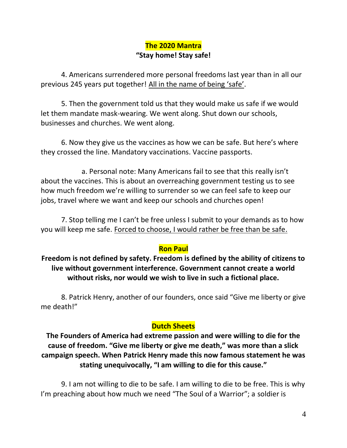## **The 2020 Mantra "Stay home! Stay safe!**

4. Americans surrendered more personal freedoms last year than in all our previous 245 years put together! All in the name of being 'safe'.

5. Then the government told us that they would make us safe if we would let them mandate mask-wearing. We went along. Shut down our schools, businesses and churches. We went along.

6. Now they give us the vaccines as how we can be safe. But here's where they crossed the line. Mandatory vaccinations. Vaccine passports.

a. Personal note: Many Americans fail to see that this really isn't about the vaccines. This is about an overreaching government testing us to see how much freedom we're willing to surrender so we can feel safe to keep our jobs, travel where we want and keep our schools and churches open!

7. Stop telling me I can't be free unless I submit to your demands as to how you will keep me safe. Forced to choose, I would rather be free than be safe.

#### **Ron Paul**

**Freedom is not defined by safety. Freedom is defined by the ability of citizens to live without government interference. Government cannot create a world without risks, nor would we wish to live in such a fictional place.**

8. Patrick Henry, another of our founders, once said "Give me liberty or give me death!"

#### **Dutch Sheets**

**The Founders of America had extreme passion and were willing to die for the cause of freedom. "Give me liberty or give me death," was more than a slick campaign speech. When Patrick Henry made this now famous statement he was stating unequivocally, "I am willing to die for this cause."** 

9. I am not willing to die to be safe. I am willing to die to be free. This is why I'm preaching about how much we need "The Soul of a Warrior"; a soldier is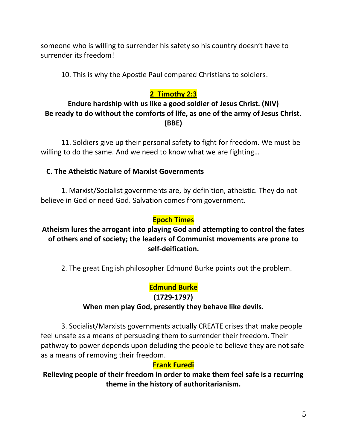someone who is willing to surrender his safety so his country doesn't have to surrender its freedom!

10. This is why the Apostle Paul compared Christians to soldiers.

# **2 Timothy 2:3**

# **Endure hardship with us like a good soldier of Jesus Christ. (NIV) Be ready to do without the comforts of life, as one of the army of Jesus Christ. (BBE)**

11. Soldiers give up their personal safety to fight for freedom. We must be willing to do the same. And we need to know what we are fighting…

### **C. The Atheistic Nature of Marxist Governments**

1. Marxist/Socialist governments are, by definition, atheistic. They do not believe in God or need God. Salvation comes from government.

### **Epoch Times**

## **Atheism lures the arrogant into playing God and attempting to control the fates of others and of society; the leaders of Communist movements are prone to self-deification.**

2. The great English philosopher Edmund Burke points out the problem.

## **Edmund Burke**

**(1729-1797)**

#### **When men play God, presently they behave like devils.**

3. Socialist/Marxists governments actually CREATE crises that make people feel unsafe as a means of persuading them to surrender their freedom. Their pathway to power depends upon deluding the people to believe they are not safe as a means of removing their freedom.

#### **Frank Furedi**

**Relieving people of their freedom in order to make them feel safe is a recurring theme in the history of authoritarianism.**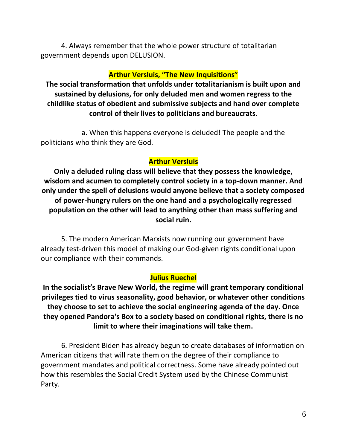4. Always remember that the whole power structure of totalitarian government depends upon DELUSION.

#### **Arthur Versluis, "The New Inquisitions"**

**The social transformation that unfolds under totalitarianism is built upon and sustained by delusions, for only deluded men and women regress to the childlike status of obedient and submissive subjects and hand over complete control of their lives to politicians and bureaucrats.**

a. When this happens everyone is deluded! The people and the politicians who think they are God.

#### **Arthur Versluis**

**Only a deluded ruling class will believe that they possess the knowledge, wisdom and acumen to completely control society in a top-down manner. And only under the spell of delusions would anyone believe that a society composed of power-hungry rulers on the one hand and a psychologically regressed population on the other will lead to anything other than mass suffering and social ruin.**

5. The modern American Marxists now running our government have already test-driven this model of making our God-given rights conditional upon our compliance with their commands.

#### **Julius Ruechel**

**In the socialist's Brave New World, the regime will grant temporary conditional privileges tied to virus seasonality, good behavior, or whatever other conditions they choose to set to achieve the social engineering agenda of the day. Once they opened Pandora's Box to a society based on conditional rights, there is no limit to where their imaginations will take them.**

6. President Biden has already begun to create databases of information on American citizens that will rate them on the degree of their compliance to government mandates and political correctness. Some have already pointed out how this resembles the Social Credit System used by the Chinese Communist Party.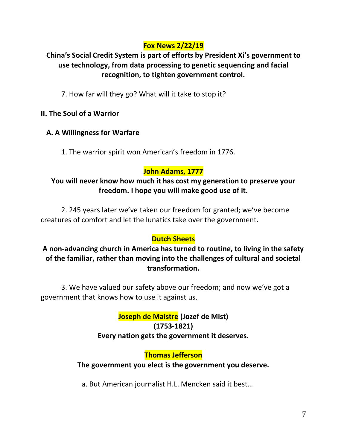# **Fox News 2/22/19**

# **China's Social Credit System is part of efforts by President Xi's government to use technology, from data processing to genetic sequencing and facial recognition, to tighten government control.**

7. How far will they go? What will it take to stop it?

### **II. The Soul of a Warrior**

## **A. A Willingness for Warfare**

1. The warrior spirit won American's freedom in 1776.

# **John Adams, 1777**

### **You will never know how much it has cost my generation to preserve your freedom. I hope you will make good use of it.**

2. 245 years later we've taken our freedom for granted; we've become creatures of comfort and let the lunatics take over the government.

## **Dutch Sheets**

## **A non-advancing church in America has turned to routine, to living in the safety of the familiar, rather than moving into the challenges of cultural and societal transformation.**

3. We have valued our safety above our freedom; and now we've got a government that knows how to use it against us.

> **Joseph de Maistre (Jozef de Mist) (1753-1821) Every nation gets the government it deserves.**

## **Thomas Jefferson**

#### **The government you elect is the government you deserve.**

a. But American journalist H.L. Mencken said it best…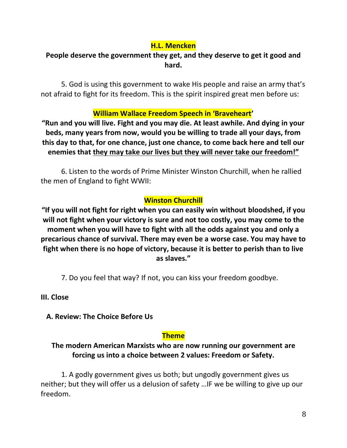## **H.L. Mencken**

# **People deserve the government they get, and they deserve to get it good and hard.**

5. God is using this government to wake His people and raise an army that's not afraid to fight for its freedom. This is the spirit inspired great men before us:

## **William Wallace Freedom Speech in 'Braveheart'**

**"Run and you will live. Fight and you may die. At least awhile. And dying in your beds, many years from now, would you be willing to trade all your days, from this day to that, for one chance, just one chance, to come back here and tell our enemies that they may take our lives but they will never take our freedom!"**

6. Listen to the words of Prime Minister Winston Churchill, when he rallied the men of England to fight WWII:

# **Winston Churchill**

**"If you will not fight for right when you can easily win without bloodshed, if you will not fight when your victory is sure and not too costly, you may come to the moment when you will have to fight with all the odds against you and only a precarious chance of survival. There may even be a worse case. You may have to fight when there is no hope of victory, because it is better to perish than to live as slaves."**

7. Do you feel that way? If not, you can kiss your freedom goodbye.

**III. Close**

 **A. Review: The Choice Before Us**

## **Theme**

### **The modern American Marxists who are now running our government are forcing us into a choice between 2 values: Freedom or Safety.**

1. A godly government gives us both; but ungodly government gives us neither; but they will offer us a delusion of safety …IF we be willing to give up our freedom.